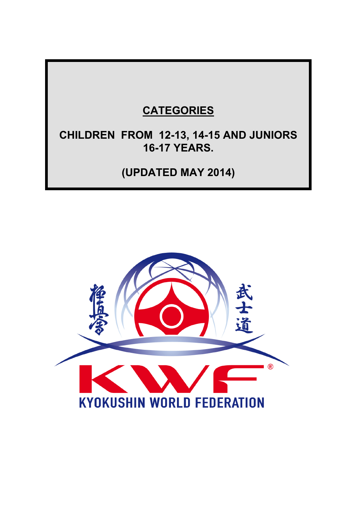# **CATEGORIES**

# **CHILDREN FROM 12-13, 14-15 AND JUNIORS 16-17 YEARS.**

**(UPDATED MAY 2014)**

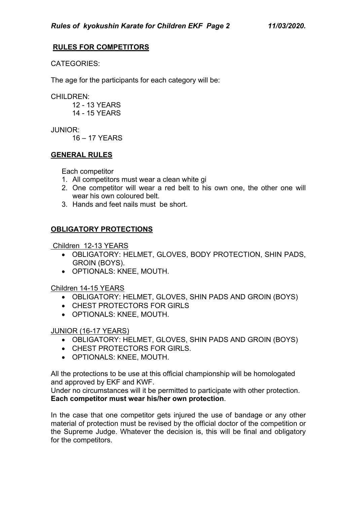# **RULES FOR COMPETITORS**

CATEGORIES:

The age for the participants for each category will be:

CHILDREN:

 12 - 13 YEARS 14 - 15 YEARS

JUNIOR:

16 – 17 YEARS

#### **GENERAL RULES**

Each competitor

- 1. All competitors must wear a clean white gi
- 2. One competitor will wear a red belt to his own one, the other one will wear his own coloured belt.
- 3. Hands and feet nails must be short.

# **OBLIGATORY PROTECTIONS**

Children 12-13 YEARS

- OBLIGATORY: HELMET, GLOVES, BODY PROTECTION, SHIN PADS, GROIN (BOYS).
- OPTIONALS: KNEE, MOUTH.

Children 14-15 YEARS

- OBLIGATORY: HELMET, GLOVES, SHIN PADS AND GROIN (BOYS)
- CHEST PROTECTORS FOR GIRLS
- OPTIONALS: KNEE, MOUTH.

#### JUNIOR (16-17 YEARS)

- OBLIGATORY: HELMET, GLOVES, SHIN PADS AND GROIN (BOYS)
- CHEST PROTECTORS FOR GIRLS.
- OPTIONALS: KNEE, MOUTH.

All the protections to be use at this official championship will be homologated and approved by EKF and KWF.

Under no circumstances will it be permitted to participate with other protection. **Each competitor must wear his/her own protection**.

In the case that one competitor gets injured the use of bandage or any other material of protection must be revised by the official doctor of the competition or the Supreme Judge. Whatever the decision is, this will be final and obligatory for the competitors.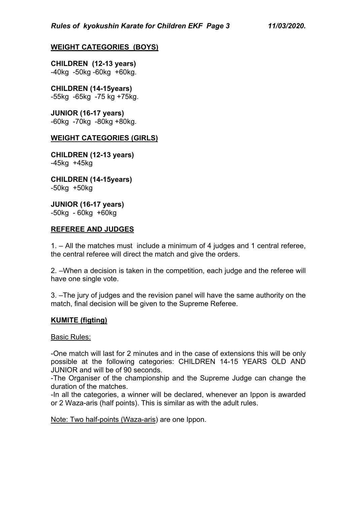# **WEIGHT CATEGORIES (BOYS)**

**CHILDREN (12-13 years)** -40kg -50kg -60kg +60kg.

#### **CHILDREN (14-15years)** -55kg -65kg -75 kg +75kg.

**JUNIOR (16-17 years)** -60kg -70kg -80kg +80kg.

#### **WEIGHT CATEGORIES (GIRLS)**

**CHILDREN (12-13 years)** -45kg +45kg

**CHILDREN (14-15years)** -50kg +50kg

**JUNIOR (16-17 years)** -50kg - 60kg +60kg

#### **REFEREE AND JUDGES**

1. – All the matches must include a minimum of 4 judges and 1 central referee, the central referee will direct the match and give the orders.

2. –When a decision is taken in the competition, each judge and the referee will have one single vote.

3. –The jury of judges and the revision panel will have the same authority on the match, final decision will be given to the Supreme Referee.

#### **KUMITE (figting)**

#### **Basic Rules:**

-One match will last for 2 minutes and in the case of extensions this will be only possible at the following categories: CHILDREN 14-15 YEARS OLD AND JUNIOR and will be of 90 seconds.

-The Organiser of the championship and the Supreme Judge can change the duration of the matches.

-In all the categories, a winner will be declared, whenever an Ippon is awarded or 2 Waza-aris (half points). This is similar as with the adult rules.

Note: Two half-points (Waza-aris) are one Ippon.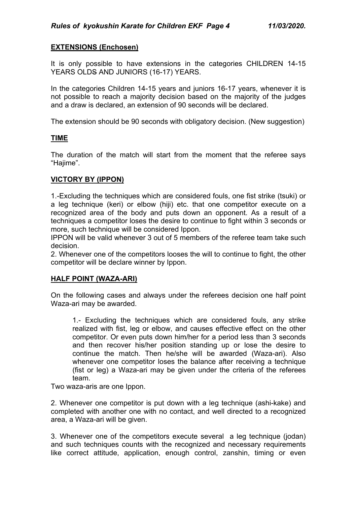# **EXTENSIONS (Enchosen)**

It is only possible to have extensions in the categories CHILDREN 14-15 YEARS OLDS AND JUNIORS (16-17) YEARS.

In the categories Children 14-15 years and juniors 16-17 years, whenever it is not possible to reach a majority decision based on the majority of the judges and a draw is declared, an extension of 90 seconds will be declared.

The extension should be 90 seconds with obligatory decision. (New suggestion)

#### **TIME**

The duration of the match will start from the moment that the referee says "Hajime".

#### **VICTORY BY (IPPON)**

1.-Excluding the techniques which are considered fouls, one fist strike (tsuki) or a leg technique (keri) or elbow (hiji) etc. that one competitor execute on a recognized area of the body and puts down an opponent. As a result of a techniques a competitor loses the desire to continue to fight within 3 seconds or more, such technique will be considered Ippon.

IPPON will be valid whenever 3 out of 5 members of the referee team take such decision.

2. Whenever one of the competitors looses the will to continue to fight, the other competitor will be declare winner by Ippon.

#### **HALF POINT (WAZA-ARI)**

On the following cases and always under the referees decision one half point Waza-ari may be awarded.

1.- Excluding the techniques which are considered fouls, any strike realized with fist, leg or elbow, and causes effective effect on the other competitor. Or even puts down him/her for a period less than 3 seconds and then recover his/her position standing up or lose the desire to continue the match. Then he/she will be awarded (Waza-ari). Also whenever one competitor loses the balance after receiving a technique (fist or leg) a Waza-ari may be given under the criteria of the referees team.

Two waza-aris are one Ippon.

2. Whenever one competitor is put down with a leg technique (ashi-kake) and completed with another one with no contact, and well directed to a recognized area, a Waza-ari will be given.

3. Whenever one of the competitors execute several a leg technique (jodan) and such techniques counts with the recognized and necessary requirements like correct attitude, application, enough control, zanshin, timing or even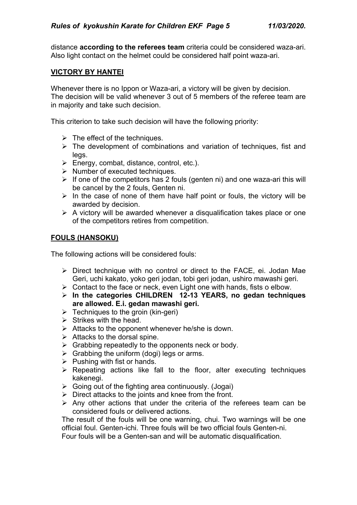distance **according to the referees team** criteria could be considered waza-ari. Also light contact on the helmet could be considered half point waza-ari.

#### **VICTORY BY HANTEI**

Whenever there is no Ippon or Waza-ari, a victory will be given by decision. The decision will be valid whenever 3 out of 5 members of the referee team are in majority and take such decision.

This criterion to take such decision will have the following priority:

- $\triangleright$  The effect of the techniques.
- $\triangleright$  The development of combinations and variation of techniques, fist and legs.
- $\triangleright$  Energy, combat, distance, control, etc.).
- $\triangleright$  Number of executed techniques.
- $\triangleright$  If one of the competitors has 2 fouls (genten ni) and one waza-ari this will be cancel by the 2 fouls, Genten ni.
- $\triangleright$  In the case of none of them have half point or fouls, the victory will be awarded by decision.
- $\triangleright$  A victory will be awarded whenever a disqualification takes place or one of the competitors retires from competition.

#### **FOULS (HANSOKU)**

The following actions will be considered fouls:

- $\triangleright$  Direct technique with no control or direct to the FACE, ei. Jodan Mae Geri, uchi kakato, yoko geri jodan, tobi geri jodan, ushiro mawashi geri.
- $\triangleright$  Contact to the face or neck, even Light one with hands, fists o elbow.
- Ø **In the categories CHILDREN 12-13 YEARS, no gedan techniques are allowed. E.i. gedan mawashi geri.**
- $\triangleright$  Techniques to the groin (kin-geri)
- $\triangleright$  Strikes with the head.
- $\triangleright$  Attacks to the opponent whenever he/she is down.
- $\triangleright$  Attacks to the dorsal spine.
- $\triangleright$  Grabbing repeatedly to the opponents neck or body.
- $\triangleright$  Grabbing the uniform (dogi) legs or arms.
- $\triangleright$  Pushing with fist or hands.
- $\triangleright$  Repeating actions like fall to the floor, alter executing techniques kakenegi.
- $\triangleright$  Going out of the fighting area continuously. (Jogai)
- $\triangleright$  Direct attacks to the joints and knee from the front.
- $\triangleright$  Any other actions that under the criteria of the referees team can be considered fouls or delivered actions.

The result of the fouls will be one warning, chui. Two warnings will be one official foul. Genten-ichi. Three fouls will be two official fouls Genten-ni.

Four fouls will be a Genten-san and will be automatic disqualification.